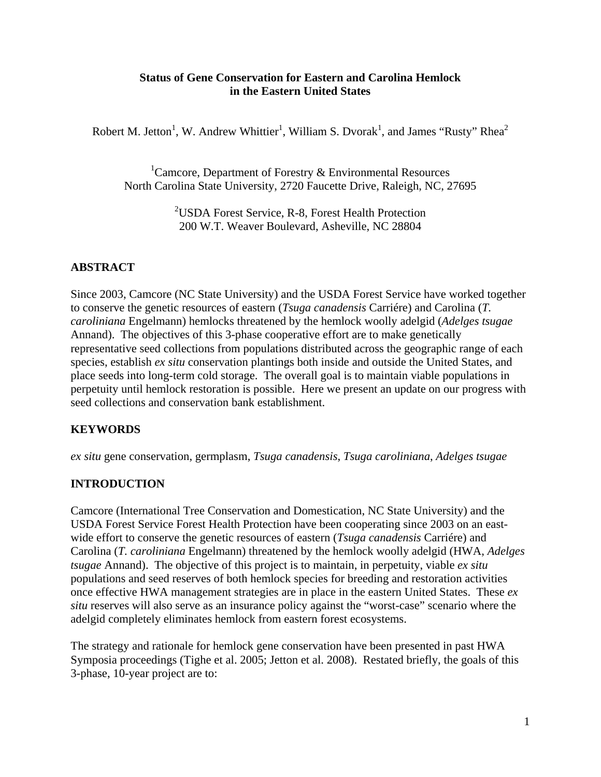#### **Status of Gene Conservation for Eastern and Carolina Hemlock in the Eastern United States**

Robert M. Jetton<sup>1</sup>, W. Andrew Whittier<sup>1</sup>, William S. Dvorak<sup>1</sup>, and James "Rusty" Rhea<sup>2</sup>

<sup>1</sup> Camcore, Department of Forestry  $\&$  Environmental Resources North Carolina State University, 2720 Faucette Drive, Raleigh, NC, 27695

> <sup>2</sup>USDA Forest Service, R-8, Forest Health Protection 200 W.T. Weaver Boulevard, Asheville, NC 28804

# **ABSTRACT**

Since 2003, Camcore (NC State University) and the USDA Forest Service have worked together to conserve the genetic resources of eastern (*Tsuga canadensis* Carriére) and Carolina (*T. caroliniana* Engelmann) hemlocks threatened by the hemlock woolly adelgid (*Adelges tsugae* Annand). The objectives of this 3-phase cooperative effort are to make genetically representative seed collections from populations distributed across the geographic range of each species, establish *ex situ* conservation plantings both inside and outside the United States, and place seeds into long-term cold storage. The overall goal is to maintain viable populations in perpetuity until hemlock restoration is possible. Here we present an update on our progress with seed collections and conservation bank establishment.

# **KEYWORDS**

*ex situ* gene conservation, germplasm, *Tsuga canadensis*, *Tsuga caroliniana*, *Adelges tsugae*

# **INTRODUCTION**

Camcore (International Tree Conservation and Domestication, NC State University) and the USDA Forest Service Forest Health Protection have been cooperating since 2003 on an eastwide effort to conserve the genetic resources of eastern (*Tsuga canadensis* Carriére) and Carolina (*T. caroliniana* Engelmann) threatened by the hemlock woolly adelgid (HWA, *Adelges tsugae* Annand). The objective of this project is to maintain, in perpetuity, viable *ex situ* populations and seed reserves of both hemlock species for breeding and restoration activities once effective HWA management strategies are in place in the eastern United States. These *ex situ* reserves will also serve as an insurance policy against the "worst-case" scenario where the adelgid completely eliminates hemlock from eastern forest ecosystems.

The strategy and rationale for hemlock gene conservation have been presented in past HWA Symposia proceedings (Tighe et al. 2005; Jetton et al. 2008). Restated briefly, the goals of this 3-phase, 10-year project are to: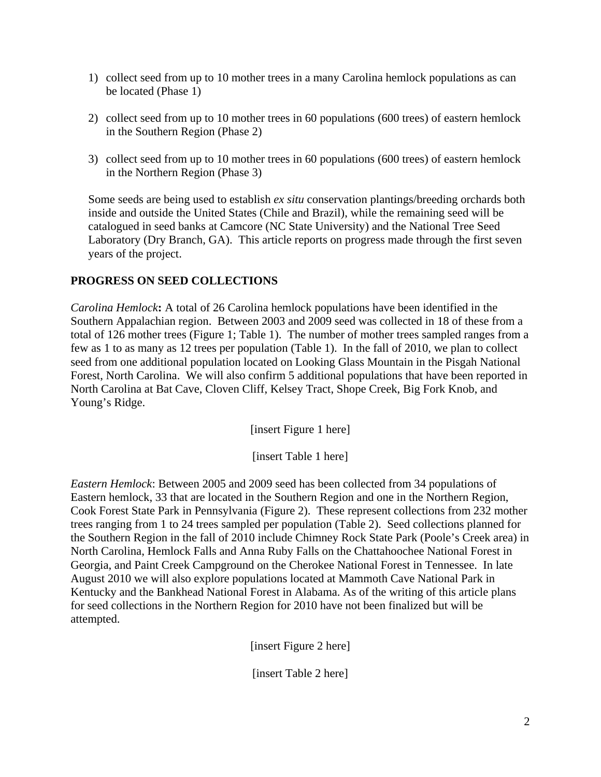- 1) collect seed from up to 10 mother trees in a many Carolina hemlock populations as can be located (Phase 1)
- 2) collect seed from up to 10 mother trees in 60 populations (600 trees) of eastern hemlock in the Southern Region (Phase 2)
- 3) collect seed from up to 10 mother trees in 60 populations (600 trees) of eastern hemlock in the Northern Region (Phase 3)

Some seeds are being used to establish *ex situ* conservation plantings/breeding orchards both inside and outside the United States (Chile and Brazil), while the remaining seed will be catalogued in seed banks at Camcore (NC State University) and the National Tree Seed Laboratory (Dry Branch, GA). This article reports on progress made through the first seven years of the project.

### **PROGRESS ON SEED COLLECTIONS**

*Carolina Hemlock***:** A total of 26 Carolina hemlock populations have been identified in the Southern Appalachian region. Between 2003 and 2009 seed was collected in 18 of these from a total of 126 mother trees (Figure 1; Table 1). The number of mother trees sampled ranges from a few as 1 to as many as 12 trees per population (Table 1). In the fall of 2010, we plan to collect seed from one additional population located on Looking Glass Mountain in the Pisgah National Forest, North Carolina. We will also confirm 5 additional populations that have been reported in North Carolina at Bat Cave, Cloven Cliff, Kelsey Tract, Shope Creek, Big Fork Knob, and Young's Ridge.

[insert Figure 1 here]

[insert Table 1 here]

*Eastern Hemlock*: Between 2005 and 2009 seed has been collected from 34 populations of Eastern hemlock, 33 that are located in the Southern Region and one in the Northern Region, Cook Forest State Park in Pennsylvania (Figure 2). These represent collections from 232 mother trees ranging from 1 to 24 trees sampled per population (Table 2). Seed collections planned for the Southern Region in the fall of 2010 include Chimney Rock State Park (Poole's Creek area) in North Carolina, Hemlock Falls and Anna Ruby Falls on the Chattahoochee National Forest in Georgia, and Paint Creek Campground on the Cherokee National Forest in Tennessee. In late August 2010 we will also explore populations located at Mammoth Cave National Park in Kentucky and the Bankhead National Forest in Alabama. As of the writing of this article plans for seed collections in the Northern Region for 2010 have not been finalized but will be attempted.

[insert Figure 2 here]

[insert Table 2 here]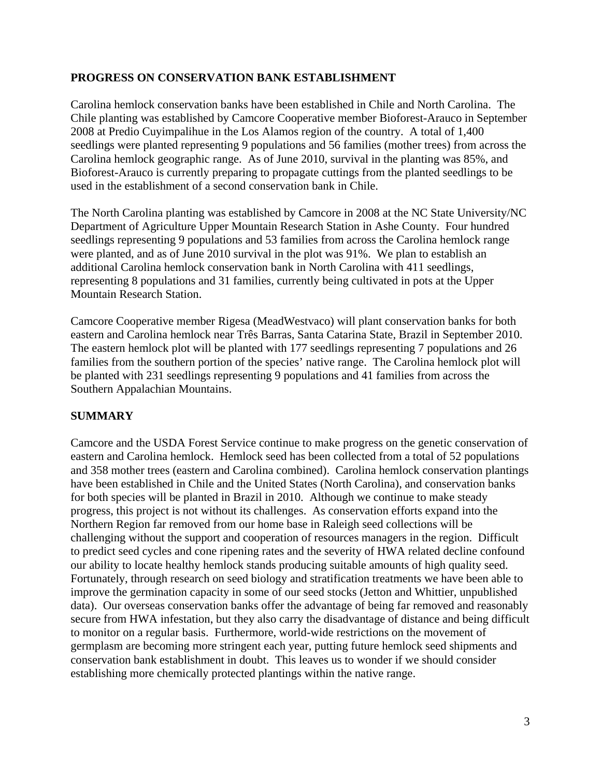### **PROGRESS ON CONSERVATION BANK ESTABLISHMENT**

Carolina hemlock conservation banks have been established in Chile and North Carolina. The Chile planting was established by Camcore Cooperative member Bioforest-Arauco in September 2008 at Predio Cuyimpalihue in the Los Alamos region of the country. A total of 1,400 seedlings were planted representing 9 populations and 56 families (mother trees) from across the Carolina hemlock geographic range. As of June 2010, survival in the planting was 85%, and Bioforest-Arauco is currently preparing to propagate cuttings from the planted seedlings to be used in the establishment of a second conservation bank in Chile.

The North Carolina planting was established by Camcore in 2008 at the NC State University/NC Department of Agriculture Upper Mountain Research Station in Ashe County. Four hundred seedlings representing 9 populations and 53 families from across the Carolina hemlock range were planted, and as of June 2010 survival in the plot was 91%. We plan to establish an additional Carolina hemlock conservation bank in North Carolina with 411 seedlings, representing 8 populations and 31 families, currently being cultivated in pots at the Upper Mountain Research Station.

Camcore Cooperative member Rigesa (MeadWestvaco) will plant conservation banks for both eastern and Carolina hemlock near Três Barras, Santa Catarina State, Brazil in September 2010. The eastern hemlock plot will be planted with 177 seedlings representing 7 populations and 26 families from the southern portion of the species' native range. The Carolina hemlock plot will be planted with 231 seedlings representing 9 populations and 41 families from across the Southern Appalachian Mountains.

### **SUMMARY**

Camcore and the USDA Forest Service continue to make progress on the genetic conservation of eastern and Carolina hemlock. Hemlock seed has been collected from a total of 52 populations and 358 mother trees (eastern and Carolina combined). Carolina hemlock conservation plantings have been established in Chile and the United States (North Carolina), and conservation banks for both species will be planted in Brazil in 2010. Although we continue to make steady progress, this project is not without its challenges. As conservation efforts expand into the Northern Region far removed from our home base in Raleigh seed collections will be challenging without the support and cooperation of resources managers in the region. Difficult to predict seed cycles and cone ripening rates and the severity of HWA related decline confound our ability to locate healthy hemlock stands producing suitable amounts of high quality seed. Fortunately, through research on seed biology and stratification treatments we have been able to improve the germination capacity in some of our seed stocks (Jetton and Whittier, unpublished data). Our overseas conservation banks offer the advantage of being far removed and reasonably secure from HWA infestation, but they also carry the disadvantage of distance and being difficult to monitor on a regular basis. Furthermore, world-wide restrictions on the movement of germplasm are becoming more stringent each year, putting future hemlock seed shipments and conservation bank establishment in doubt. This leaves us to wonder if we should consider establishing more chemically protected plantings within the native range.